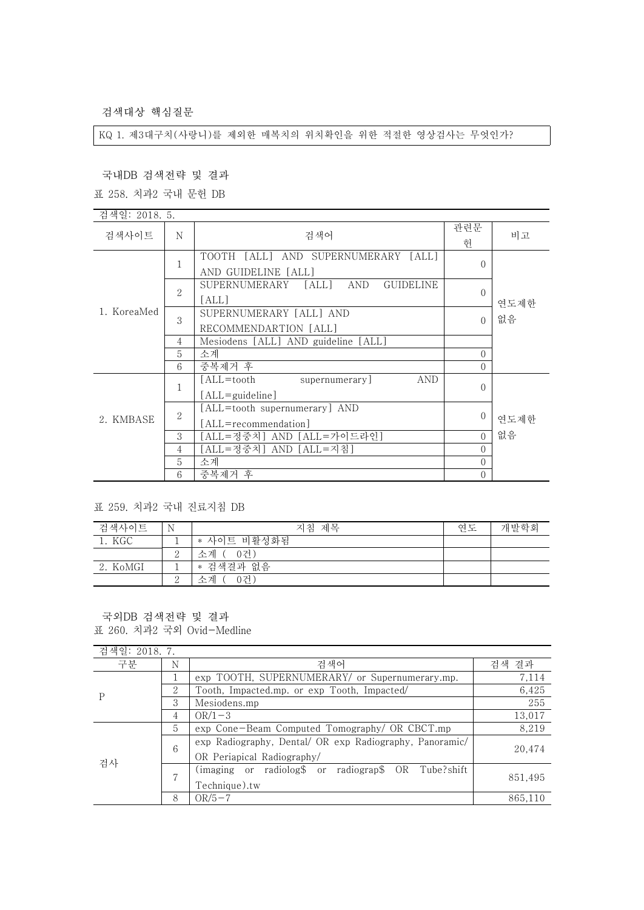검색대상 핵심질문

KQ 1. 제3대구치(사랑니)를 제외한 매복치의 위치확인을 위한 적절한 영상검사는 무엇인가?

국내DB 검색전략 및 결과

표 258. 치과2 국내 문헌 DB

| 검색일: 2018. 5. |                |                                                            |                      |      |
|---------------|----------------|------------------------------------------------------------|----------------------|------|
| 검색사이트         | N              | 검색어                                                        | 관련문<br>헌             | 비고   |
| 1. KoreaMed   | 1              | TOOTH [ALL] AND SUPERNUMERARY [ALL]<br>AND GUIDELINE [ALL] | $\Omega$             |      |
|               | $\overline{2}$ | SUPERNUMERARY<br>[ALL]<br>AND<br><b>GUIDELINE</b><br>[ALL] | $\Omega$             | 연도제한 |
|               | 3              | SUPERNUMERARY [ALL] AND<br>RECOMMENDARTION [ALL]           | $\Omega$             | 없음   |
|               | 4              | Mesiodens [ALL] AND guideline [ALL]                        |                      |      |
|               | 5<br>6         | 소계<br>중복제거 후                                               | $\theta$<br>$\Omega$ |      |
|               | 1              | [ALL=tooth<br>AND<br>supernumerary<br>[ALL=guideline]      | $\Omega$             |      |
| 2. KMBASE     | $\overline{2}$ | [ALL=tooth supernumerary] AND<br>[ALL=recommendation]      | $\theta$             | 연도제한 |
|               | 3              | [ALL=정중치] AND [ALL=가이드라인]                                  | $\Omega$             | 없음   |
|               | 4              | [ALL=정중치] AND [ALL=지침]                                     | $\Omega$             |      |
|               | 5              | 소계                                                         | $\Omega$             |      |
|               | 6              | 중복제거 후                                                     | $\Omega$             |      |

표 259. 치과2 국내 진료지침 DB

| 검색사이트    | N        | 지침 제목       | 연도 | 개발학회 |
|----------|----------|-------------|----|------|
| 1. KGC   |          | * 사이트 비활성화됨 |    |      |
|          |          | 소계 ( 0거)    |    |      |
| 2. KoMGI |          | * 검색결과 없음   |    |      |
|          | $\Omega$ | 수계<br>0건`   |    |      |

국외DB 검색전략 및 결과 표 260. 치과2 국외 Ovid-Medline

| 검색일: 2018. 7. |   |                                                                                       |         |
|---------------|---|---------------------------------------------------------------------------------------|---------|
| 구분            | N | 검색어                                                                                   | 검색 결과   |
| P             |   | exp TOOTH, SUPERNUMERARY/ or Supernumerary.mp.                                        | 7,114   |
|               | 2 | Tooth, Impacted.mp. or exp Tooth, Impacted/                                           | 6,425   |
|               | 3 | Mesiodens.mp                                                                          | 255     |
|               | 4 | $OR/1-3$                                                                              | 13,017  |
| 검사            | 5 | exp Cone-Beam Computed Tomography/ OR CBCT.mp                                         | 8,219   |
|               | 6 | exp Radiography, Dental/ OR exp Radiography, Panoramic/<br>OR Periapical Radiography/ | 20,474  |
|               | 7 | (imaging or radiolog\$ or radiograp\$ OR Tube?shift)<br>Technique).tw                 | 851,495 |
|               | 8 | $OR/5-7$                                                                              | 865,110 |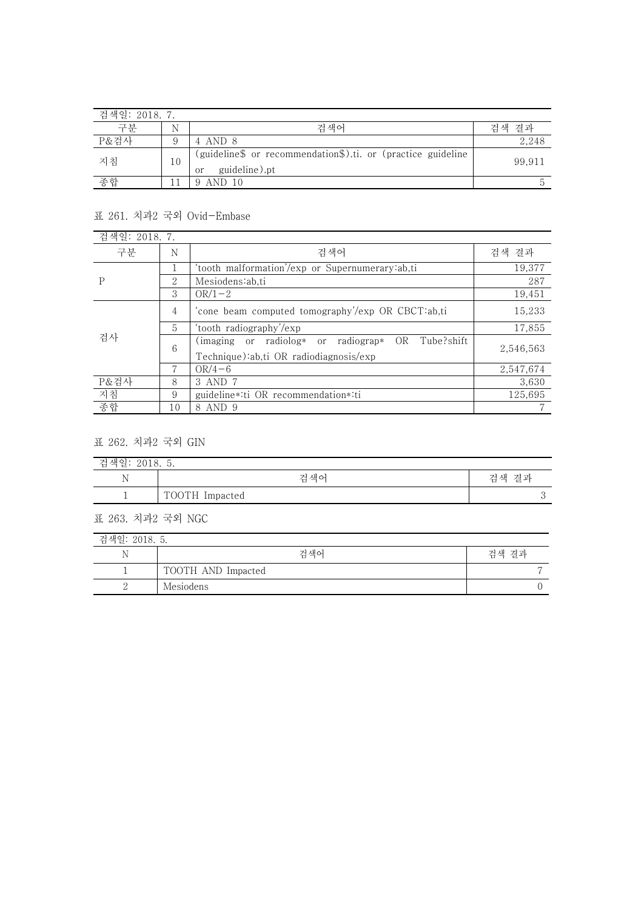| 검색일: 2018. 7. |    |                                                                                     |           |
|---------------|----|-------------------------------------------------------------------------------------|-----------|
| 구부            | N  | 검색어                                                                                 | 결과<br>걲색. |
| P&검사          |    | 4 AND 8                                                                             | 2,248     |
| 지침            | 10 | (guideline\$ or recommendation\$).ti. or (practice guideline<br>guideline).pt<br>or | 99.911    |
| 종합            |    | 9 AND 10                                                                            |           |

## 표 261. 치과2 국외 Ovid-Embase

| 검색일: 2018. 7. |    |                                                                                                    |           |
|---------------|----|----------------------------------------------------------------------------------------------------|-----------|
| 구분            | N  | 검색어                                                                                                | 검색 결과     |
| P             |    | 'tooth malformation'/exp or Supernumerary:ab,ti                                                    | 19,377    |
|               | 2  | Mesiodens:ab.ti                                                                                    | 287       |
|               | 3  | $OR/1-2$                                                                                           | 19,451    |
| 검사            | 4  | 'cone beam computed tomography'/exp OR CBCT:ab.ti                                                  | 15,233    |
|               | 5. | 'tooth radiography'/exp                                                                            | 17,855    |
|               | 6  | (imaging or radiolog* or radiograp*)<br>Tube?shift<br>OR<br>Technique):ab,ti OR radiodiagnosis/exp | 2,546,563 |
|               |    | $OR/4-6$                                                                                           | 2,547,674 |
| P&검사          | 8  | 3 AND 7                                                                                            | 3,630     |
| 지침            | 9  | guideline*:ti OR recommendation*:ti                                                                | 125,695   |
| 종합            | 10 | 8 AND 9                                                                                            |           |

표 262. 치과2 국외 GIN

| 색일<br>$\overline{\phantom{0}}$<br>ュ<br>2018. D.<br>≃ |                |       |  |
|------------------------------------------------------|----------------|-------|--|
| T.                                                   | 검색어            | 검색 결과 |  |
|                                                      | TOOTH Impacted | ັ     |  |

표 263. 치과2 국외 NGC

| 검색일: 2018. 5. |                    |       |  |
|---------------|--------------------|-------|--|
|               | 검색어                | 검색 결과 |  |
|               | TOOTH AND Impacted |       |  |
| ┙             | Mesiodens          |       |  |